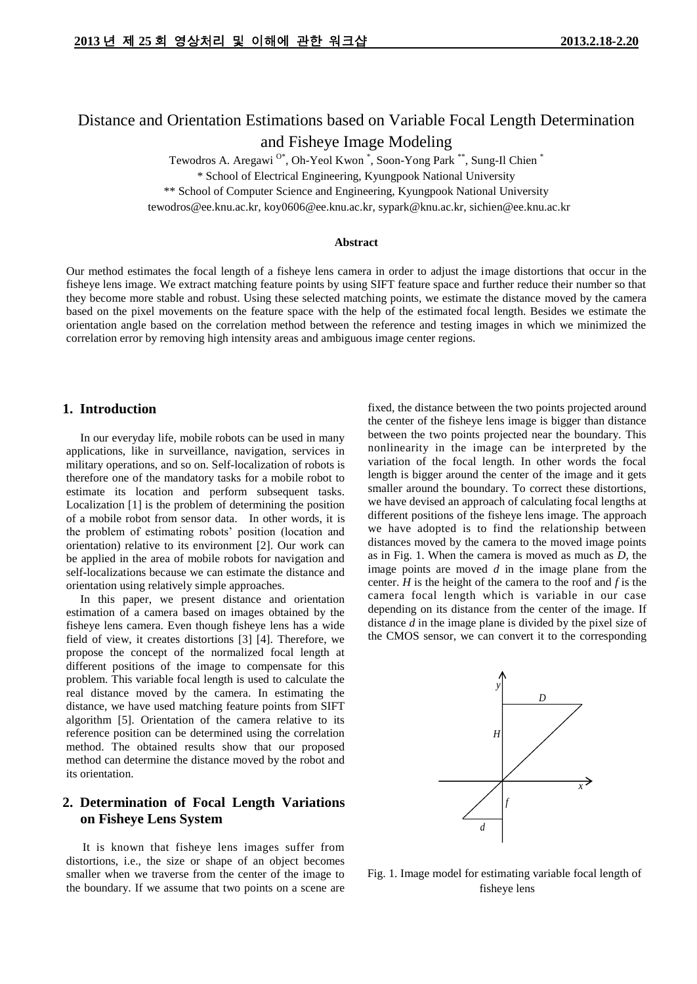# Distance and Orientation Estimations based on Variable Focal Length Determination and Fisheye Image Modeling

Tewodros A. Aregawi  $^{0*}$ , Oh-Yeol Kwon  $\overset{*}{\,}$ , Soon-Yong Park  $^{**}$ , Sung-Il Chien  $^{*}$ 

\* School of Electrical Engineering, Kyungpook National University

\*\* School of Computer Science and Engineering, Kyungpook National University

tewodros@ee.knu.ac.kr, koy0606@ee.knu.ac.kr, sypark@knu.ac.kr, sichien@ee.knu.ac.kr

#### **Abstract**

Our method estimates the focal length of a fisheye lens camera in order to adjust the image distortions that occur in the fisheye lens image. We extract matching feature points by using SIFT feature space and further reduce their number so that they become more stable and robust. Using these selected matching points, we estimate the distance moved by the camera based on the pixel movements on the feature space with the help of the estimated focal length. Besides we estimate the orientation angle based on the correlation method between the reference and testing images in which we minimized the correlation error by removing high intensity areas and ambiguous image center regions.

# **1. Introduction**

In our everyday life, mobile robots can be used in many applications, like in surveillance, navigation, services in military operations, and so on. Self-localization of robots is therefore one of the mandatory tasks for a mobile robot to estimate its location and perform subsequent tasks. Localization [1] is the problem of determining the position of a mobile robot from sensor data. In other words, it is the problem of estimating robots' position (location and orientation) relative to its environment [2]. Our work can be applied in the area of mobile robots for navigation and self-localizations because we can estimate the distance and orientation using relatively simple approaches.

In this paper, we present distance and orientation estimation of a camera based on images obtained by the fisheye lens camera. Even though fisheye lens has a wide field of view, it creates distortions [3] [4]. Therefore, we propose the concept of the normalized focal length at different positions of the image to compensate for this problem. This variable focal length is used to calculate the real distance moved by the camera. In estimating the distance, we have used matching feature points from SIFT algorithm [5]. Orientation of the camera relative to its reference position can be determined using the correlation method. The obtained results show that our proposed method can determine the distance moved by the robot and its orientation.

# **2. Determination of Focal Length Variations on Fisheye Lens System**

It is known that fisheye lens images suffer from distortions, i.e., the size or shape of an object becomes smaller when we traverse from the center of the image to the boundary. If we assume that two points on a scene are fixed, the distance between the two points projected around the center of the fisheye lens image is bigger than distance between the two points projected near the boundary. This nonlinearity in the image can be interpreted by the variation of the focal length. In other words the focal length is bigger around the center of the image and it gets smaller around the boundary. To correct these distortions, we have devised an approach of calculating focal lengths at different positions of the fisheye lens image. The approach we have adopted is to find the relationship between distances moved by the camera to the moved image points as in Fig. 1. When the camera is moved as much as *D*, the image points are moved *d* in the image plane from the center. *H* is the height of the camera to the roof and *f* is the camera focal length which is variable in our case depending on its distance from the center of the image. If distance *d* in the image plane is divided by the pixel size of the CMOS sensor, we can convert it to the corresponding



Fig. 1. Image model for estimating variable focal length of fisheye lens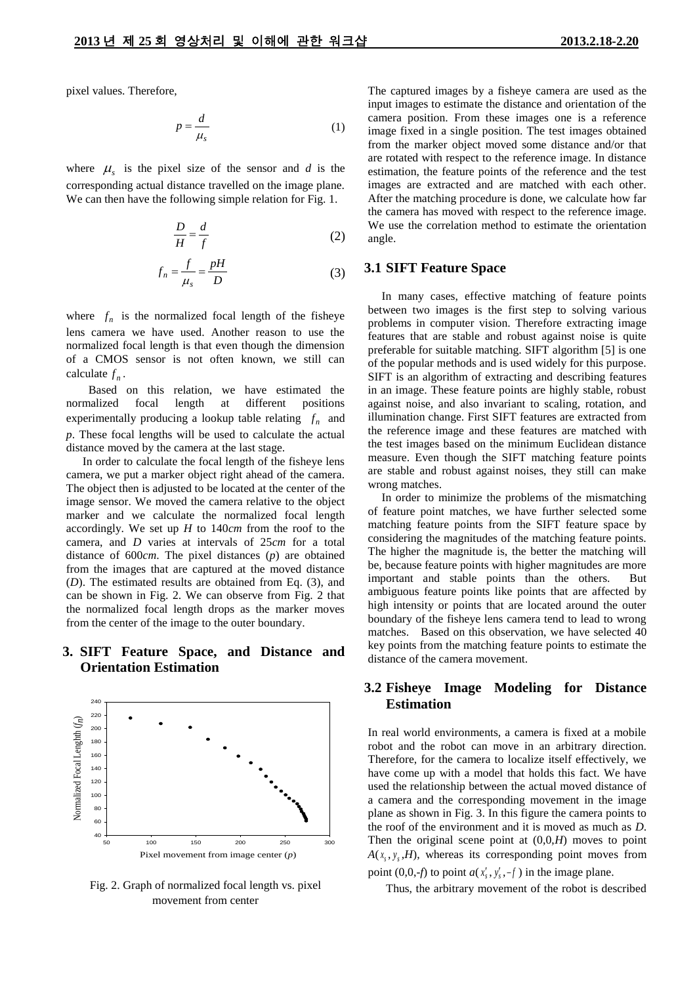pixel values. Therefore,

$$
p = \frac{d}{\mu_s} \tag{1}
$$

where  $\mu_s$  is the pixel size of the sensor and *d* is the corresponding actual distance travelled on the image plane. We can then have the following simple relation for Fig. 1.

$$
\frac{D}{H} = \frac{d}{f} \tag{2}
$$

$$
f_n = \frac{f}{\mu_s} = \frac{pH}{D} \tag{3}
$$

where  $f_n$  is the normalized focal length of the fisheye lens camera we have used. Another reason to use the normalized focal length is that even though the dimension of a CMOS sensor is not often known, we still can calculate  $f_n$ .

Based on this relation, we have estimated the normalized focal length at different positions experimentally producing a lookup table relating  $f_n$  and *p*. These focal lengths will be used to calculate the actual distance moved by the camera at the last stage.

In order to calculate the focal length of the fisheye lens camera, we put a marker object right ahead of the camera. The object then is adjusted to be located at the center of the image sensor. We moved the camera relative to the object marker and we calculate the normalized focal length accordingly. We set up *H* to 140*cm* from the roof to the camera, and *D* varies at intervals of 25*cm* for a total distance of 600*cm*. The pixel distances (*p*) are obtained from the images that are captured at the moved distance (*D*). The estimated results are obtained from Eq. (3), and can be shown in Fig. 2. We can observe from Fig. 2 that the normalized focal length drops as the marker moves from the center of the image to the outer boundary.

# **3. SIFT Feature Space, and Distance and Orientation Estimation**



Fig. 2. Graph of normalized focal length vs. pixel movement from center

The captured images by a fisheye camera are used as the input images to estimate the distance and orientation of the camera position. From these images one is a reference image fixed in a single position. The test images obtained from the marker object moved some distance and/or that are rotated with respect to the reference image. In distance estimation, the feature points of the reference and the test images are extracted and are matched with each other. After the matching procedure is done, we calculate how far the camera has moved with respect to the reference image. We use the correlation method to estimate the orientation angle.

### **3.1 SIFT Feature Space**

In many cases, effective matching of feature points between two images is the first step to solving various problems in computer vision. Therefore extracting image features that are stable and robust against noise is quite preferable for suitable matching. SIFT algorithm [5] is one of the popular methods and is used widely for this purpose. SIFT is an algorithm of extracting and describing features in an image. These feature points are highly stable, robust against noise, and also invariant to scaling, rotation, and illumination change. First SIFT features are extracted from the reference image and these features are matched with the test images based on the minimum Euclidean distance measure. Even though the SIFT matching feature points are stable and robust against noises, they still can make wrong matches.

In order to minimize the problems of the mismatching of feature point matches, we have further selected some matching feature points from the SIFT feature space by considering the magnitudes of the matching feature points. The higher the magnitude is, the better the matching will be, because feature points with higher magnitudes are more important and stable points than the others. But ambiguous feature points like points that are affected by high intensity or points that are located around the outer boundary of the fisheye lens camera tend to lead to wrong matches. Based on this observation, we have selected 40 key points from the matching feature points to estimate the distance of the camera movement.

# **3.2 Fisheye Image Modeling for Distance Estimation**

In real world environments, a camera is fixed at a mobile robot and the robot can move in an arbitrary direction. Therefore, for the camera to localize itself effectively, we have come up with a model that holds this fact. We have used the relationship between the actual moved distance of a camera and the corresponding movement in the image plane as shown in Fig. 3. In this figure the camera points to the roof of the environment and it is moved as much as *D*. Then the original scene point at  $(0,0,H)$  moves to point  $A(x<sub>s</sub>, y<sub>s</sub>, H)$ , whereas its corresponding point moves from point  $(0,0,-f)$  to point  $a(x'_{s}, y'_{s}, -f)$  in the image plane.

Thus, the arbitrary movement of the robot is described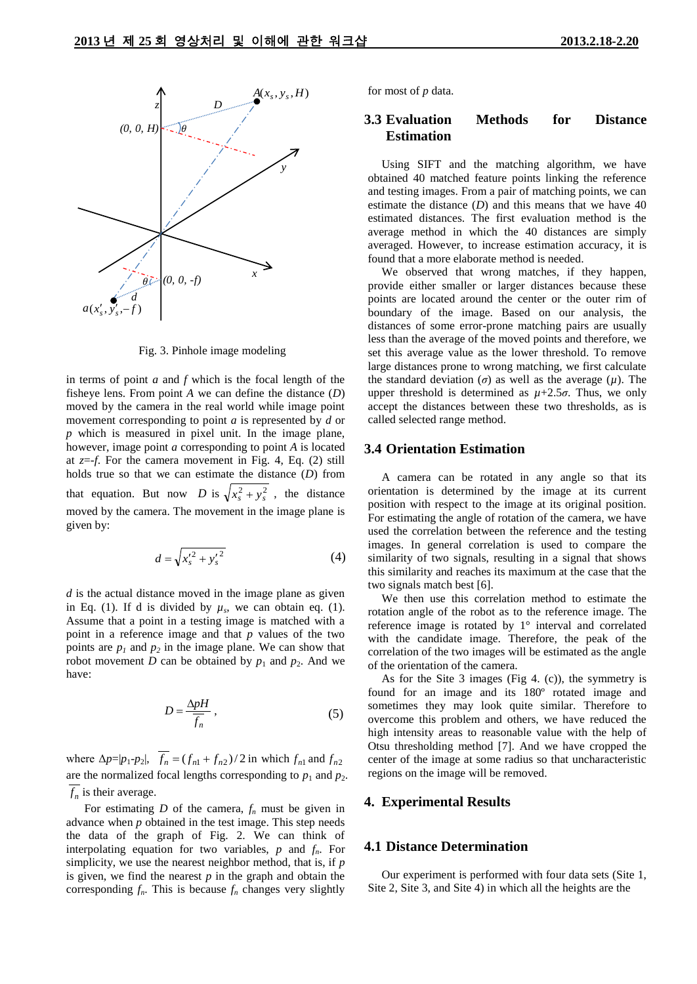

Fig. 3. Pinhole image modeling

in terms of point *a* and *f* which is the focal length of the fisheye lens. From point *A* we can define the distance (*D*) moved by the camera in the real world while image point movement corresponding to point *a* is represented by *d* or *p* which is measured in pixel unit. In the image plane, however, image point *a* corresponding to point *A* is located at *z*=*-f*. For the camera movement in Fig. 4, Eq. (2) still holds true so that we can estimate the distance (*D*) from that equation. But now *D* is  $\sqrt{x_s^2 + y_s^2}$ , the distance moved by the camera. The movement in the image plane is given by:

$$
d = \sqrt{{x'_s}^2 + {y'_s}^2}
$$
 (4)

*d* is the actual distance moved in the image plane as given in Eq. (1). If d is divided by  $\mu_s$ , we can obtain eq. (1). Assume that a point in a testing image is matched with a point in a reference image and that *p* values of the two points are  $p_1$  and  $p_2$  in the image plane. We can show that robot movement *D* can be obtained by  $p_1$  and  $p_2$ . And we have:

$$
D = \frac{\Delta pH}{f_n} \,,\tag{5}
$$

where  $\Delta p = |p_1 - p_2|$ ,  $f_n = (f_{n1} + f_{n2})/2$  in which  $f_{n1}$  and  $f_{n2}$ are the normalized focal lengths corresponding to  $p_1$  and  $p_2$ .  $f_n$  is their average.

For estimating *D* of the camera,  $f_n$  must be given in advance when *p* obtained in the test image. This step needs the data of the graph of Fig. 2. We can think of interpolating equation for two variables, *p* and *fn*. For simplicity, we use the nearest neighbor method, that is, if *p* is given, we find the nearest  $p$  in the graph and obtain the corresponding  $f_n$ . This is because  $f_n$  changes very slightly

for most of *p* data.

## **3.3 Evaluation Methods for Distance Estimation**

Using SIFT and the matching algorithm, we have obtained 40 matched feature points linking the reference and testing images. From a pair of matching points, we can estimate the distance (*D*) and this means that we have 40 estimated distances. The first evaluation method is the average method in which the 40 distances are simply averaged. However, to increase estimation accuracy, it is found that a more elaborate method is needed.

We observed that wrong matches, if they happen, provide either smaller or larger distances because these points are located around the center or the outer rim of boundary of the image. Based on our analysis, the distances of some error-prone matching pairs are usually less than the average of the moved points and therefore, we set this average value as the lower threshold. To remove large distances prone to wrong matching, we first calculate the standard deviation ( $\sigma$ ) as well as the average ( $\mu$ ). The upper threshold is determined as  $\mu$ +2.5 $\sigma$ . Thus, we only accept the distances between these two thresholds, as is called selected range method.

#### **3.4 Orientation Estimation**

A camera can be rotated in any angle so that its orientation is determined by the image at its current position with respect to the image at its original position. For estimating the angle of rotation of the camera, we have used the correlation between the reference and the testing images. In general correlation is used to compare the similarity of two signals, resulting in a signal that shows this similarity and reaches its maximum at the case that the two signals match best [6].

We then use this correlation method to estimate the rotation angle of the robot as to the reference image. The reference image is rotated by 1° interval and correlated with the candidate image. Therefore, the peak of the correlation of the two images will be estimated as the angle of the orientation of the camera.

As for the Site 3 images (Fig 4. (c)), the symmetry is found for an image and its 180º rotated image and sometimes they may look quite similar. Therefore to overcome this problem and others, we have reduced the high intensity areas to reasonable value with the help of Otsu thresholding method [7]. And we have cropped the center of the image at some radius so that uncharacteristic regions on the image will be removed.

## **4. Experimental Results**

#### **4.1 Distance Determination**

Our experiment is performed with four data sets (Site 1, Site 2, Site 3, and Site 4) in which all the heights are the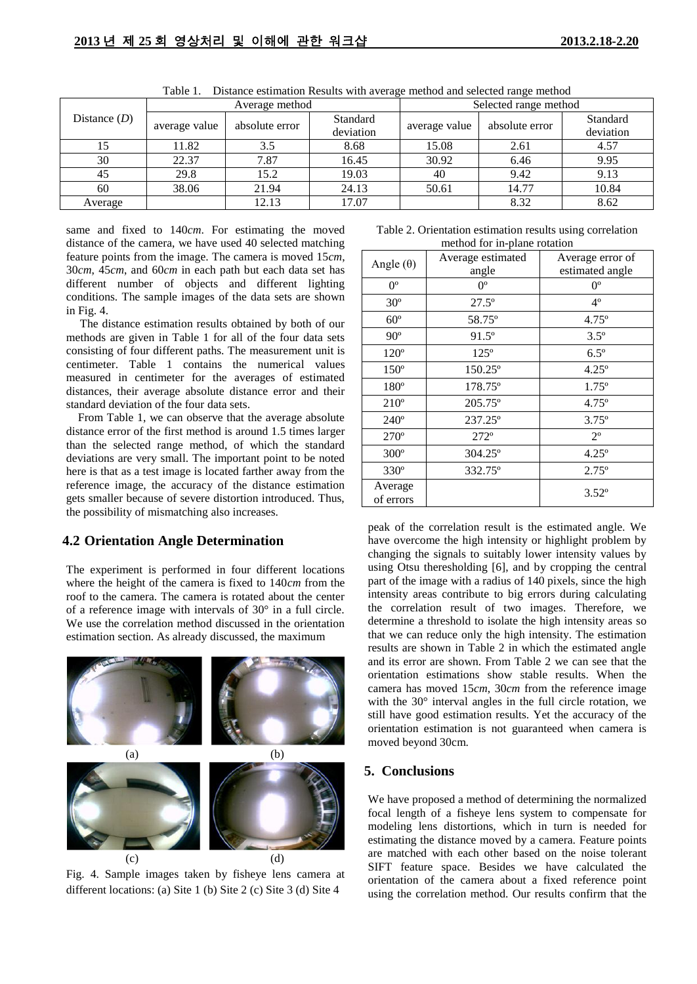| Distance $(D)$ | Average method |                |           | Selected range method |                |           |
|----------------|----------------|----------------|-----------|-----------------------|----------------|-----------|
|                | average value  | absolute error | Standard  | average value         | absolute error | Standard  |
|                |                |                | deviation |                       |                | deviation |
| 15             | 11.82          | 3.5            | 8.68      | 15.08                 | 2.61           | 4.57      |
| 30             | 22.37          | 7.87           | 16.45     | 30.92                 | 6.46           | 9.95      |
| 45             | 29.8           | 15.2           | 19.03     | 40                    | 9.42           | 9.13      |
| 60             | 38.06          | 21.94          | 24.13     | 50.61                 | 14.77          | 10.84     |
| Average        |                | 12.13          | 17.07     |                       | 8.32           | 8.62      |

Table 1. Distance estimation Results with average method and selected range method

same and fixed to 140*cm*. For estimating the moved distance of the camera, we have used 40 selected matching feature points from the image. The camera is moved 15*cm*, 30*cm*, 45*cm*, and 60*cm* in each path but each data set has different number of objects and different lighting conditions. The sample images of the data sets are shown in Fig. 4.

The distance estimation results obtained by both of our methods are given in Table 1 for all of the four data sets consisting of four different paths. The measurement unit is centimeter. Table 1 contains the numerical values measured in centimeter for the averages of estimated distances, their average absolute distance error and their standard deviation of the four data sets.

From Table 1, we can observe that the average absolute distance error of the first method is around 1.5 times larger than the selected range method, of which the standard deviations are very small. The important point to be noted here is that as a test image is located farther away from the reference image, the accuracy of the distance estimation gets smaller because of severe distortion introduced. Thus, the possibility of mismatching also increases.

# **4.2 Orientation Angle Determination**

The experiment is performed in four different locations where the height of the camera is fixed to 140*cm* from the roof to the camera. The camera is rotated about the center of a reference image with intervals of 30° in a full circle. We use the correlation method discussed in the orientation estimation section. As already discussed, the maximum



Fig. 4. Sample images taken by fisheye lens camera at different locations: (a) Site 1 (b) Site 2 (c) Site 3 (d) Site 4

| Table 2. Orientation estimation results using correlation |  |  |  |  |  |  |
|-----------------------------------------------------------|--|--|--|--|--|--|
| method for in-plane rotation                              |  |  |  |  |  |  |

| Angle $(\theta)$     | Average estimated | Average error of |
|----------------------|-------------------|------------------|
|                      | angle             | estimated angle  |
| $0^{\circ}$          | $0^{\circ}$       | $0^{\circ}$      |
| $30^\circ$           | $27.5^{\circ}$    | $4^{\circ}$      |
| $60^{\circ}$         | 58.75°            | $4.75^{\circ}$   |
| $90^{\circ}$         | $91.5^{\circ}$    | $3.5^\circ$      |
| $120^{\circ}$        | $125^\circ$       | $6.5^\circ$      |
| $150^\circ$          | $150.25^{\circ}$  | $4.25^{\circ}$   |
| 180°                 | $178.75^{\circ}$  | $1.75^{\circ}$   |
| $210^{\circ}$        | $205.75^{\circ}$  | $4.75^{\circ}$   |
| $240^\circ$          | $237.25^{\circ}$  | $3.75^{\circ}$   |
| 270°                 | $272^\circ$       | $2^{\circ}$      |
| $300^\circ$          | $304.25^{\circ}$  | $4.25^{\circ}$   |
| 330°                 | 332.75°           | $2.75^{\circ}$   |
| Average<br>of errors |                   | $3.52^{\circ}$   |

peak of the correlation result is the estimated angle. We have overcome the high intensity or highlight problem by changing the signals to suitably lower intensity values by using Otsu theresholding [6], and by cropping the central part of the image with a radius of 140 pixels, since the high intensity areas contribute to big errors during calculating the correlation result of two images. Therefore, we determine a threshold to isolate the high intensity areas so that we can reduce only the high intensity. The estimation results are shown in Table 2 in which the estimated angle and its error are shown. From Table 2 we can see that the orientation estimations show stable results. When the camera has moved 15*cm*, 30*cm* from the reference image with the 30° interval angles in the full circle rotation, we still have good estimation results. Yet the accuracy of the orientation estimation is not guaranteed when camera is moved beyond 30cm.

## **5. Conclusions**

We have proposed a method of determining the normalized focal length of a fisheye lens system to compensate for modeling lens distortions, which in turn is needed for estimating the distance moved by a camera. Feature points are matched with each other based on the noise tolerant SIFT feature space. Besides we have calculated the orientation of the camera about a fixed reference point using the correlation method. Our results confirm that the